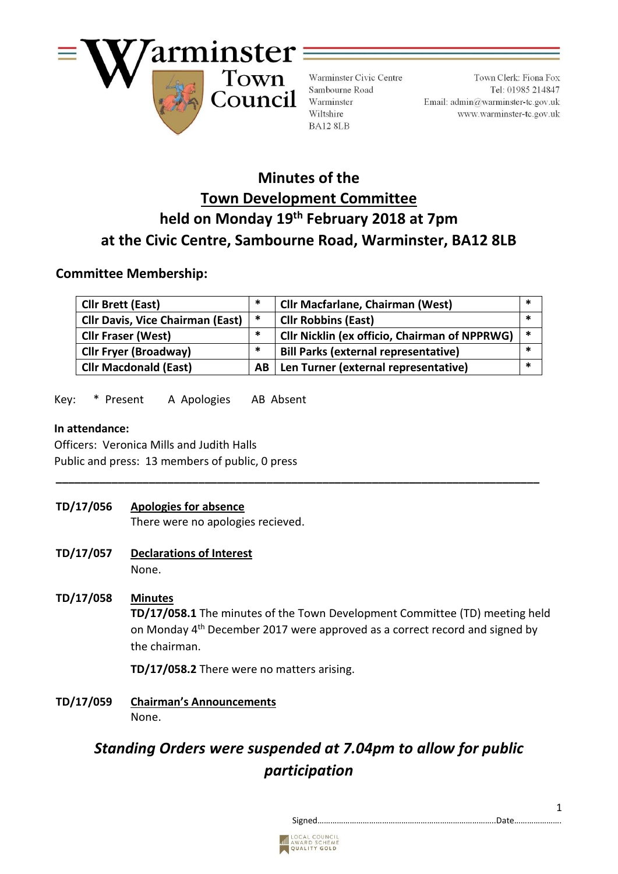

Warminster Civic Centre Sambourne Road Warminster Wiltshire BA12 8LB

Town Clerk: Fiona Fox Tel: 01985 214847 Email:  $\text{admin}\textcircled{a}$ warminster-tc.gov.uk www.warminster-tc.gov.uk

# **Minutes of the Town Development Committee held on Monday 19th February 2018 at 7pm at the Civic Centre, Sambourne Road, Warminster, BA12 8LB**

### **Committee Membership:**

| <b>Cllr Brett (East)</b>                | *      | <b>Cllr Macfarlane, Chairman (West)</b>              | *      |
|-----------------------------------------|--------|------------------------------------------------------|--------|
| <b>Cllr Davis, Vice Chairman (East)</b> | $\ast$ | <b>Cllr Robbins (East)</b>                           | *      |
| <b>Cllr Fraser (West)</b>               | $\ast$ | <b>Cllr Nicklin (ex officio, Chairman of NPPRWG)</b> | $\ast$ |
| <b>Cllr Fryer (Broadway)</b>            | $\ast$ | <b>Bill Parks (external representative)</b>          | *      |
| <b>Cllr Macdonald (East)</b>            | AB.    | Len Turner (external representative)                 | *      |

Key: \* Present A Apologies AB Absent

### **In attendance:**

 Officers: Veronica Mills and Judith Halls Public and press: 13 members of public, 0 press

**TD/17/056 Apologies for absence**

There were no apologies recieved.

- **TD/17/057 Declarations of Interest**  None.
- **TD/17/058 Minutes TD/17/058.1** The minutes of the Town Development Committee (TD) meeting held on Monday 4<sup>th</sup> December 2017 were approved as a correct record and signed by the chairman.

**\_\_\_\_\_\_\_\_\_\_\_\_\_\_\_\_\_\_\_\_\_\_\_\_\_\_\_\_\_\_\_\_\_\_\_\_\_\_\_\_\_\_\_\_\_\_\_\_\_\_\_\_\_\_\_\_\_\_\_\_\_\_\_\_\_\_\_\_\_\_\_\_\_\_\_\_\_\_**

**TD/17/058.2** There were no matters arising.

**TD/17/059 Chairman's Announcements** None.

# *Standing Orders were suspended at 7.04pm to allow for public participation*



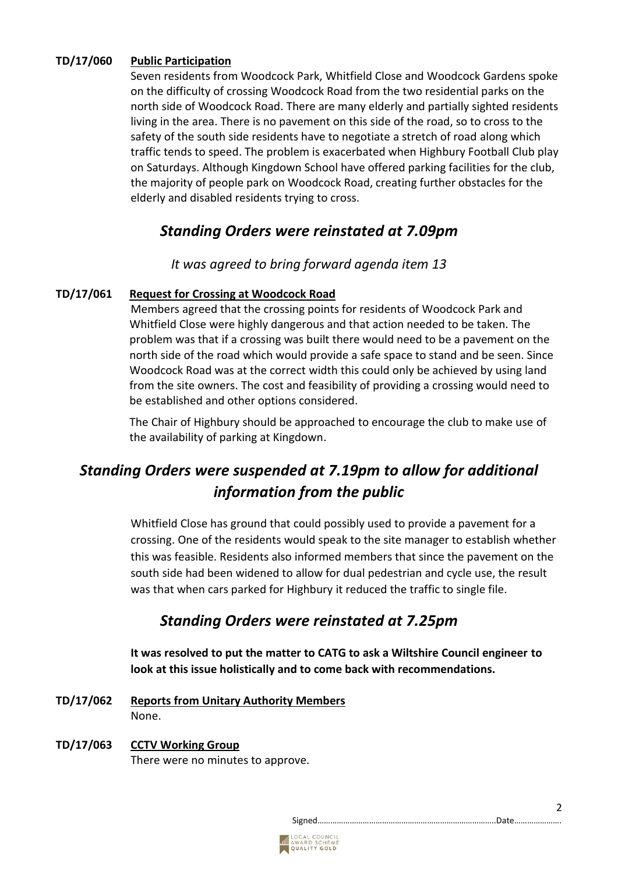### **TD/17/060 Public Participation**

Seven residents from Woodcock Park, Whitfield Close and Woodcock Gardens spoke on the difficulty of crossing Woodcock Road from the two residential parks on the north side of Woodcock Road. There are many elderly and partially sighted residents living in the area. There is no pavement on this side of the road, so to cross to the safety of the south side residents have to negotiate a stretch of road along which traffic tends to speed. The problem is exacerbated when Highbury Football Club play on Saturdays. Although Kingdown School have offered parking facilities for the club, the majority of people park on Woodcock Road, creating further obstacles for the elderly and disabled residents trying to cross.

### *Standing Orders were reinstated at 7.09pm*

*It was agreed to bring forward agenda item 13*

### **TD/17/061 Request for Crossing at Woodcock Road**

Members agreed that the crossing points for residents of Woodcock Park and Whitfield Close were highly dangerous and that action needed to be taken. The problem was that if a crossing was built there would need to be a pavement on the north side of the road which would provide a safe space to stand and be seen. Since Woodcock Road was at the correct width this could only be achieved by using land from the site owners. The cost and feasibility of providing a crossing would need to be established and other options considered.

The Chair of Highbury should be approached to encourage the club to make use of the availability of parking at Kingdown.

# *Standing Orders were suspended at 7.19pm to allow for additional information from the public*

Whitfield Close has ground that could possibly used to provide a pavement for a crossing. One of the residents would speak to the site manager to establish whether this was feasible. Residents also informed members that since the pavement on the south side had been widened to allow for dual pedestrian and cycle use, the result was that when cars parked for Highbury it reduced the traffic to single file.

### *Standing Orders were reinstated at 7.25pm*

**It was resolved to put the matter to CATG to ask a Wiltshire Council engineer to look at this issue holistically and to come back with recommendations.**

- **TD/17/062 Reports from Unitary Authority Members** None.
- **TD/17/063 CCTV Working Group** There were no minutes to approve.